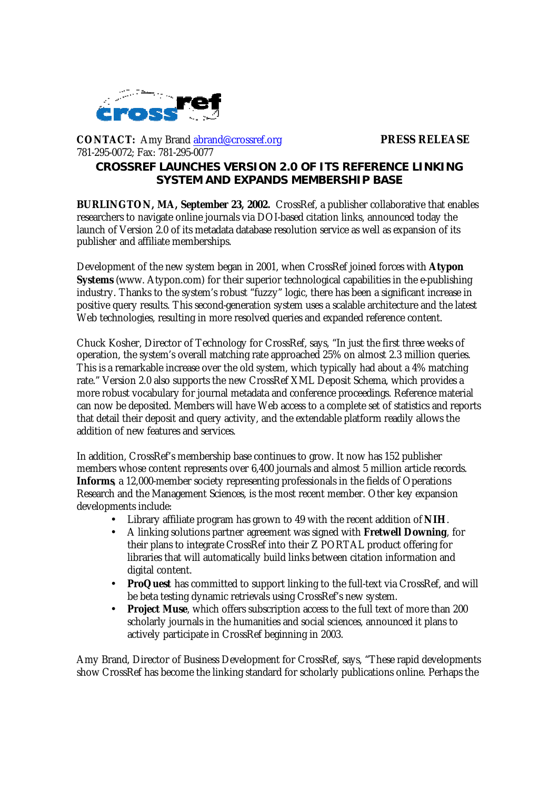

**CONTACT:** Amy Brand abrand@crossref.org **PRESS RELEASE** 781-295-0072; Fax: 781-295-0077

## **CROSSREF LAUNCHES VERSION 2.0 OF ITS REFERENCE LINKING SYSTEM AND EXPANDS MEMBERSHIP BASE**

**BURLINGTON, MA, September 23, 2002.** CrossRef, a publisher collaborative that enables researchers to navigate online journals via DOI-based citation links, announced today the launch of Version 2.0 of its metadata database resolution service as well as expansion of its publisher and affiliate memberships.

Development of the new system began in 2001, when CrossRef joined forces with **Atypon Systems** (www. Atypon.com) for their superior technological capabilities in the e-publishing industry. Thanks to the system's robust "fuzzy" logic, there has been a significant increase in positive query results. This second-generation system uses a scalable architecture and the latest Web technologies, resulting in more resolved queries and expanded reference content.

Chuck Kosher, Director of Technology for CrossRef, says, "In just the first three weeks of operation, the system's overall matching rate approached 25% on almost 2.3 million queries. This is a remarkable increase over the old system, which typically had about a 4% matching rate." Version 2.0 also supports the new CrossRef XML Deposit Schema, which provides a more robust vocabulary for journal metadata and conference proceedings. Reference material can now be deposited. Members will have Web access to a complete set of statistics and reports that detail their deposit and query activity, and the extendable platform readily allows the addition of new features and services.

In addition, CrossRef's membership base continues to grow. It now has 152 publisher members whose content represents over 6,400 journals and almost 5 million article records. **Informs**, a 12,000-member society representing professionals in the fields of Operations Research and the Management Sciences, is the most recent member. Other key expansion developments include:

- Library affiliate program has grown to 49 with the recent addition of **NIH**.
- A linking solutions partner agreement was signed with **Fretwell Downing**, for their plans to integrate CrossRef into their Z PORTAL product offering for libraries that will automatically build links between citation information and digital content.
- **ProQuest** has committed to support linking to the full-text via CrossRef, and will be beta testing dynamic retrievals using CrossRef's new system.
- **Project Muse**, which offers subscription access to the full text of more than 200 scholarly journals in the humanities and social sciences, announced it plans to actively participate in CrossRef beginning in 2003.

Amy Brand, Director of Business Development for CrossRef, says, "These rapid developments show CrossRef has become the linking standard for scholarly publications online. Perhaps the